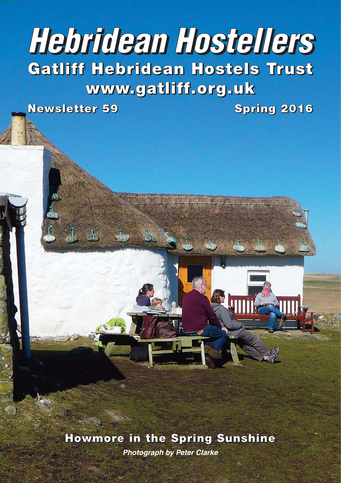# **Hebridean Hostellers Gatliff Hebridean Hostels Trust**

# **www.gatliff.org.uk**

**Newsletter 59 Spring 2016**

**Howmore in the Spring Sunshine Photograph by Peter Clarke**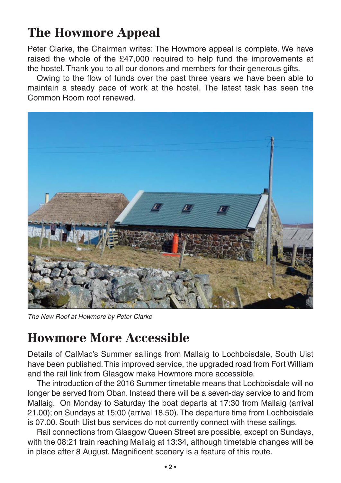# **The Howmore Appeal**

Peter Clarke, the Chairman writes: The Howmore appeal is complete. We have raised the whole of the £47,000 required to help fund the improvements at the hostel. Thank you to all our donors and members for their generous gifts.

Owing to the flow of funds over the past three years we have been able to maintain a steady pace of work at the hostel. The latest task has seen the Common Room roof renewed.



The New Roof at Howmore by Peter Clarke

### **Howmore More Accessible**

Details of CalMac's Summer sailings from Mallaig to Lochboisdale, South Uist have been published. This improved service, the upgraded road from Fort William and the rail link from Glasgow make Howmore more accessible.

The introduction of the 2016 Summer timetable means that Lochboisdale will no longer be served from Oban. Instead there will be a seven-day service to and from Mallaig. On Monday to Saturday the boat departs at 17:30 from Mallaig (arrival 21.00); on Sundays at 15:00 (arrival 18.50). The departure time from Lochboisdale is 07.00. South Uist bus services do not currently connect with these sailings.

Rail connections from Glasgow Queen Street are possible, except on Sundays, with the 08:21 train reaching Mallaig at 13:34, although timetable changes will be in place after 8 August. Magnificent scenery is a feature of this route.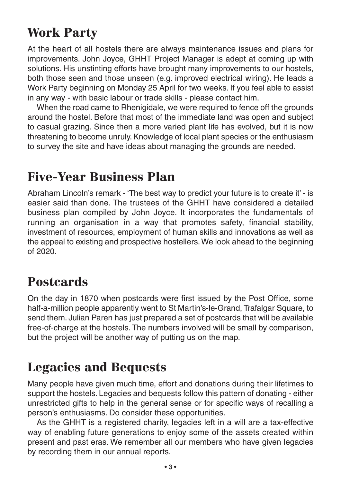# **Work Party**

At the heart of all hostels there are always maintenance issues and plans for improvements. John Joyce, GHHT Project Manager is adept at coming up with solutions. His unstinting efforts have brought many improvements to our hostels, both those seen and those unseen (e.g. improved electrical wiring). He leads a Work Party beginning on Monday 25 April for two weeks. If you feel able to assist in any way - with basic labour or trade skills - please contact him.

When the road came to Rhenigidale, we were required to fence off the grounds around the hostel. Before that most of the immediate land was open and subject to casual grazing. Since then a more varied plant life has evolved, but it is now threatening to become unruly. Knowledge of local plant species or the enthusiasm to survey the site and have ideas about managing the grounds are needed.

### **Five-Year Business Plan**

Abraham Lincoln's remark - 'The best way to predict your future is to create it' - is easier said than done. The trustees of the GHHT have considered a detailed business plan compiled by John Joyce. It incorporates the fundamentals of running an organisation in a way that promotes safety, financial stability, investment of resources, employment of human skills and innovations as well as the appeal to existing and prospective hostellers. We look ahead to the beginning of 2020.

### **Postcards**

On the day in 1870 when postcards were first issued by the Post Office, some half-a-million people apparently went to St Martin's-le-Grand, Trafalgar Square, to send them. Julian Paren has just prepared a set of postcards that will be available free-of-charge at the hostels. The numbers involved will be small by comparison, but the project will be another way of putting us on the map.

### **Legacies and Bequests**

Many people have given much time, effort and donations during their lifetimes to support the hostels. Legacies and bequests follow this pattern of donating - either unrestricted gifts to help in the general sense or for specific ways of recalling a person's enthusiasms. Do consider these opportunities.

As the GHHT is a registered charity, legacies left in a will are a tax-effective way of enabling future generations to enjoy some of the assets created within present and past eras. We remember all our members who have given legacies by recording them in our annual reports.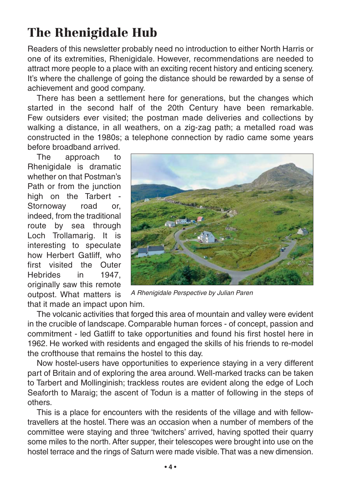# **The Rhenigidale Hub**

Readers of this newsletter probably need no introduction to either North Harris or one of its extremities, Rhenigidale. However, recommendations are needed to attract more people to a place with an exciting recent history and enticing scenery. It's where the challenge of going the distance should be rewarded by a sense of achievement and good company.

There has been a settlement here for generations, but the changes which started in the second half of the 20th Century have been remarkable. Few outsiders ever visited; the postman made deliveries and collections by walking a distance, in all weathers, on a zig-zag path; a metalled road was constructed in the 1980s; a telephone connection by radio came some years

before broadband arrived.

The approach to Rhenigidale is dramatic whether on that Postman's Path or from the junction high on the Tarbert - Stornoway road or, indeed, from the traditional route by sea through Loch Trollamarig. It is interesting to speculate how Herbert Gatliff, who first visited the Outer Hebrides in 1947, originally saw this remote outpost. What matters is



A Rhenigidale Perspective by Julian Paren

that it made an impact upon him.

The volcanic activities that forged this area of mountain and valley were evident in the crucible of landscape. Comparable human forces - of concept, passion and commitment - led Gatliff to take opportunities and found his first hostel here in 1962. He worked with residents and engaged the skills of his friends to re-model the crofthouse that remains the hostel to this day.

Now hostel-users have opportunities to experience staying in a very different part of Britain and of exploring the area around. Well-marked tracks can be taken to Tarbert and Mollinginish; trackless routes are evident along the edge of Loch Seaforth to Maraig; the ascent of Todun is a matter of following in the steps of others.

This is a place for encounters with the residents of the village and with fellowtravellers at the hostel. There was an occasion when a number of members of the committee were staying and three 'twitchers' arrived, having spotted their quarry some miles to the north. After supper, their telescopes were brought into use on the hostel terrace and the rings of Saturn were made visible. That was a new dimension.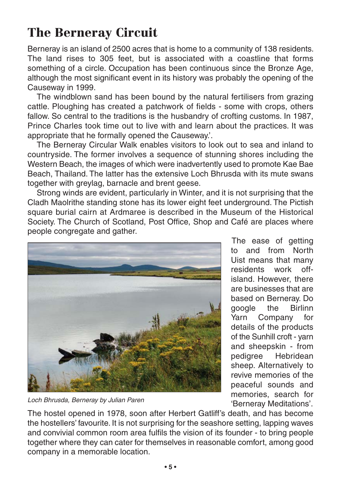# **The Berneray Circuit**

Berneray is an island of 2500 acres that is home to a community of 138 residents. The land rises to 305 feet, but is associated with a coastline that forms something of a circle. Occupation has been continuous since the Bronze Age, although the most significant event in its history was probably the opening of the Causeway in 1999.

The windblown sand has been bound by the natural fertilisers from grazing cattle. Ploughing has created a patchwork of fields - some with crops, others fallow. So central to the traditions is the husbandry of crofting customs. In 1987, Prince Charles took time out to live with and learn about the practices. It was appropriate that he formally opened the Causeway.'.

The Berneray Circular Walk enables visitors to look out to sea and inland to countryside. The former involves a sequence of stunning shores including the Western Beach, the images of which were inadvertently used to promote Kae Bae Beach, Thailand. The latter has the extensive Loch Bhrusda with its mute swans together with greylag, barnacle and brent geese.

Strong winds are evident, particularly in Winter, and it is not surprising that the Cladh Maolrithe standing stone has its lower eight feet underground. The Pictish square burial cairn at Ardmaree is described in the Museum of the Historical Society. The Church of Scotland, Post Office, Shop and Café are places where people congregate and gather.



Loch Bhrusda, Berneray by Julian Paren

The ease of getting to and from North Uist means that many residents work offisland. However, there are businesses that are based on Berneray. Do google the Birlinn Yarn Company for details of the products of the Sunhill croft - yarn and sheepskin - from pedigree Hebridean sheep. Alternatively to revive memories of the peaceful sounds and memories, search for 'Berneray Meditations'.

The hostel opened in 1978, soon after Herbert Gatliff's death, and has become the hostellers' favourite. It is not surprising for the seashore setting, lapping waves and convivial common room area fulfils the vision of its founder - to bring people together where they can cater for themselves in reasonable comfort, among good company in a memorable location.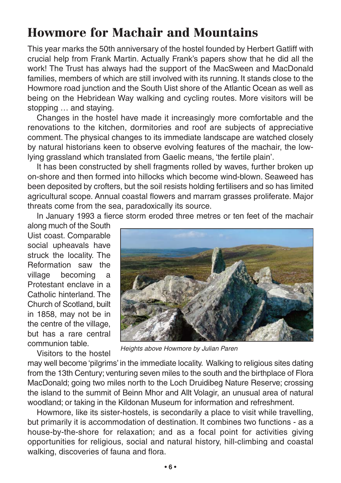# **Howmore for Machair and Mountains**

This year marks the 50th anniversary of the hostel founded by Herbert Gatliff with crucial help from Frank Martin. Actually Frank's papers show that he did all the work! The Trust has always had the support of the MacSween and MacDonald families, members of which are still involved with its running. It stands close to the Howmore road junction and the South Uist shore of the Atlantic Ocean as well as being on the Hebridean Way walking and cycling routes. More visitors will be stopping … and staying.

Changes in the hostel have made it increasingly more comfortable and the renovations to the kitchen, dormitories and roof are subjects of appreciative comment. The physical changes to its immediate landscape are watched closely by natural historians keen to observe evolving features of the machair, the lowlying grassland which translated from Gaelic means, 'the fertile plain'.

It has been constructed by shell fragments rolled by waves, further broken up on-shore and then formed into hillocks which become wind-blown. Seaweed has been deposited by crofters, but the soil resists holding fertilisers and so has limited agricultural scope. Annual coastal flowers and marram grasses proliferate. Major threats come from the sea, paradoxically its source.

In January 1993 a fierce storm eroded three metres or ten feet of the machair

along much of the South Uist coast. Comparable social upheavals have struck the locality. The Reformation saw the village becoming a Protestant enclave in a Catholic hinterland. The Church of Scotland, built in 1858, may not be in the centre of the village, but has a rare central communion table.

Visitors to the hostel



Heights above Howmore by Julian Paren

may well become 'pilgrims' in the immediate locality. Walking to religious sites dating from the 13th Century; venturing seven miles to the south and the birthplace of Flora MacDonald; going two miles north to the Loch Druidibeg Nature Reserve; crossing the island to the summit of Beinn Mhor and Allt Volagir, an unusual area of natural woodland; or taking in the Kildonan Museum for information and refreshment.

Howmore, like its sister-hostels, is secondarily a place to visit while travelling, but primarily it is accommodation of destination. It combines two functions - as a house-by-the-shore for relaxation; and as a focal point for activities giving opportunities for religious, social and natural history, hill-climbing and coastal walking, discoveries of fauna and flora.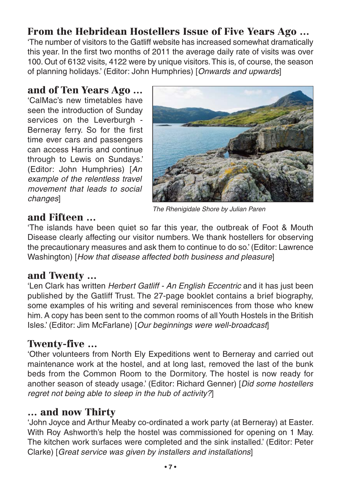#### **From the Hebridean Hostellers Issue of Five Years Ago …**

'The number of visitors to the Gatliff website has increased somewhat dramatically this year. In the first two months of 2011 the average daily rate of visits was over 100. Out of 6132 visits, 4122 were by unique visitors. This is, of course, the season of planning holidays.' (Editor: John Humphries) [Onwards and upwards]

#### **and of Ten Years Ago …**

'CalMac's new timetables have seen the introduction of Sunday services on the Leverburgh - Berneray ferry. So for the first time ever cars and passengers can access Harris and continue through to Lewis on Sundays.' (Editor: John Humphries) [An example of the relentless travel movement that leads to social changes]



The Rhenigidale Shore by Julian Paren

#### **and Fifteen …**

'The islands have been quiet so far this year, the outbreak of Foot & Mouth Disease clearly affecting our visitor numbers. We thank hostellers for observing the precautionary measures and ask them to continue to do so.' (Editor: Lawrence Washington) [How that disease affected both business and pleasure]

#### **and Twenty …**

'Len Clark has written Herbert Gatliff - An English Eccentric and it has just been published by the Gatliff Trust. The 27-page booklet contains a brief biography, some examples of his writing and several reminiscences from those who knew him. A copy has been sent to the common rooms of all Youth Hostels in the British Isles.' (Editor: Jim McFarlane) [Our beginnings were well-broadcast]

#### **Twenty-five …**

'Other volunteers from North Ely Expeditions went to Berneray and carried out maintenance work at the hostel, and at long last, removed the last of the bunk beds from the Common Room to the Dormitory. The hostel is now ready for another season of steady usage.' (Editor: Richard Genner) [Did some hostellers regret not being able to sleep in the hub of activity?]

#### **… and now Thirty**

'John Joyce and Arthur Meaby co-ordinated a work party (at Berneray) at Easter. With Roy Ashworth's help the hostel was commissioned for opening on 1 May. The kitchen work surfaces were completed and the sink installed.' (Editor: Peter Clarke) [Great service was given by installers and installations]